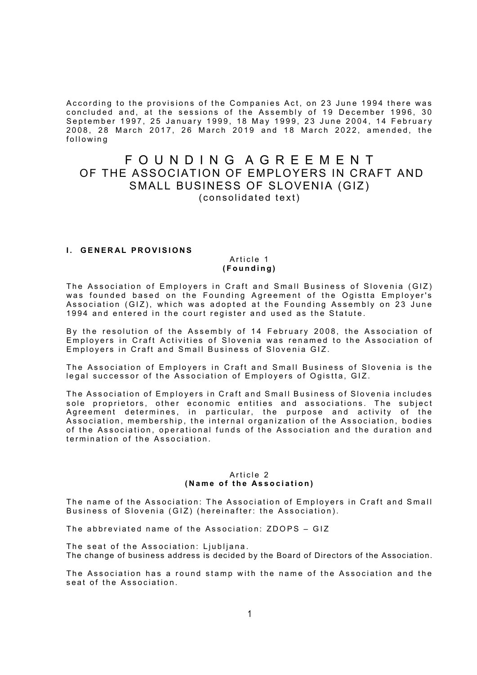According to the provisions of the Companies Act, on 23 June 1994 there was concluded and, at the sessions of the Assembly of 19 December 1996, 30 September 1997, 25 January 1999, 18 May 1999, 23 June 2004, 14 February  $2008,\,$   $28\,$  March  $\,2017,\,$   $26\,$  March  $\,2019\,$  and  $\,18\,$  March  $\,2022,\,$  amended, the following

# F O U N D I N G A G R E E M E N T OF THE ASSOCIATION OF EMPLOYERS IN CRAFT AND SMALL BUSINESS OF SLOVENIA (GIZ) (consolidated text)

# **I. GENERAL PROVISIONS**

## Article 1 ( F o u n d i n g )

The Association of Employers in Craft and Small Business of Slovenia (GIZ) was founded based on the Founding Agreement of the Ogistta Employer's Association (GIZ), which was adopted at the Founding Assembly on 23 June 1994 and entered in the court register and used as the Statute.

By the resolution of the Assembly of 14 February 2008, the Association of Employers in Craft Activities of Slovenia was renamed to the Association of Employers in Craft and Small Business of Slovenia GIZ.

The Association of Emplovers in Craft and Small Business of Slovenia is the legal successor of the Association of Employers of Ogistta, GIZ.

The Association of Employers in Craft and Small Business of Slovenia includes sole proprietors, other economic entities and associations. The subject Agreement determines, in particular, the purpose and activity of the Association, membership, the internal organization of the Association, bodies of the Association, operational funds of the Association and the duration and termination of the Association.

#### Article 2 (Name of the Association)

The name of the Association: The Association of Employers in Craft and Small Business of Slovenia (GIZ) (hereinafter: the Association).

The abbreviated name of the Association: ZDOPS - GIZ

The seat of the Association: Ljubljana. The change of business address is decided by the Board of Directors of the Association.

The Association has a round stamp with the name of the Association and the seat of the Association.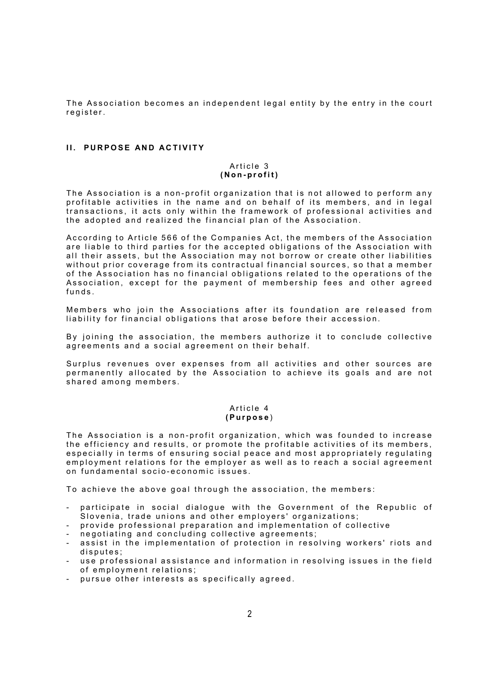The Association becomes an independent legal entity by the entry in the court register.

## II. PURPOSE AND ACTIVITY

#### Article 3 (Non-profit)

The Association is a non-profit organization that is not allowed to perform any profitable activities in the name and on behalf of its members, and in legal transactions, it acts only within the framework of professional activities and the adopted and realized the financial plan of the Association.

According to Article 566 of the Companies Act, the members of the Association are liable to third parties for the accepted obligations of the Association with all their assets, but the Association may not borrow or create other liabilities without prior coverage from its contractual financial sources, so that a member of the Association has no financial obligations related to the operations of the Association, except for the payment of membership fees and other agreed funds.

Members who join the Associations after its foundation are released from liability for financial obligations that arose before their accession.

By joining the association, the members authorize it to conclude collective agreements and a social agreement on their behalf.

Surplus revenues over expenses from all activities and other sources are permanently allocated by the Association to achieve its goals and are not shared among members.

## Article 4 ( P u r p o s e )

The Association is a non-profit organization, which was founded to increase the efficiency and results, or promote the profitable activities of its members, especially in terms of ensuring social peace and most appropriately regulating employment relations for the employer as well as to reach a social agreement on fundamental socio-economic issues.

To achieve the above goal through the association, the members:

- participate in social dialogue with the Government of the Republic of Slovenia, trade unions and other employers' organizations;
- provide professional preparation and implementation of collective
- negotiating and concluding collective agreements;
- assist in the implementation of protection in resolving workers' riots and disputes;
- use professional assistance and information in resolving issues in the field of employment relations;
- pursue other interests as specifically agreed.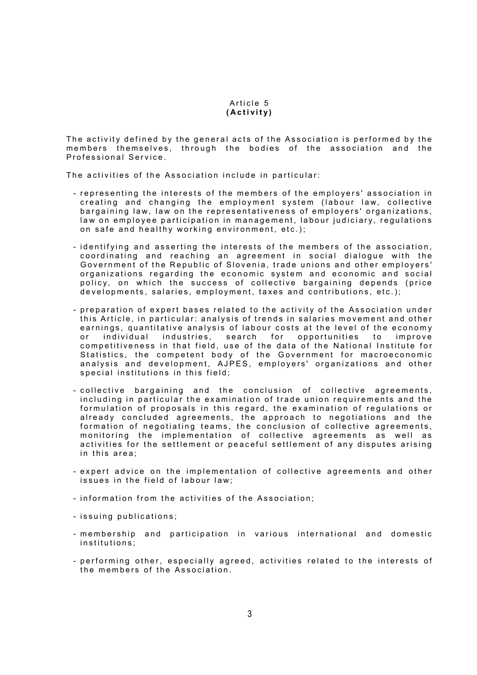#### Article 5 (Activity)

The activity defined by the general acts of the Association is performed by the members themselves, through the bodies of the association and the Professional Service.

The activities of the Association include in particular:

- representing the interests of the members of the employers' association in creating and changing the employment system (labour law, collective bargaining law, law on the representativeness of employers' organizations, law on employee participation in management, labour judiciary, regulations on safe and healthy working environment, etc.);
- identifying and asserting the interests of the members of the association, coordinating and reaching an agreement in social dialogue with the Government of the Republic of Slovenia, trade unions and other employers' organizations regarding the economic system and economic and social policy, on which the success of collective bargaining depends (price developments, salaries, employment, taxes and contributions, etc.);
- preparation of expert bases related to the activity of the Association under this Article, in particular: analysis of trends in salaries movement and other earnings, quantitative analysis of labour costs at the level of the economy or individual industries, search for opportunities to improve competitiveness in that field, use of the data of the National Institute for Statistics, the competent body of the Government for macroeconomic analysis and development, AJPES, employers' organizations and other special institutions in this field;
- collective bargaining and the conclusion of collective agreements, including in particular the examination of trade union requirements and the formulation of proposals in this regard, the examination of regulations or already concluded agreements, the approach to negotiations and the formation of negotiating teams, the conclusion of collective agreements, monitoring the implementation of collective agreements as well as activities for the settlement or peaceful settlement of any disputes arising in this area;
- expert advice on the implementation of collective agreements and other issues in the field of labour law;
- information from the activities of the Association;
- issuing publications;
- membership and participation in various international and domestic institutions:
- performing other, especially agreed, activities related to the interests of the members of the Association.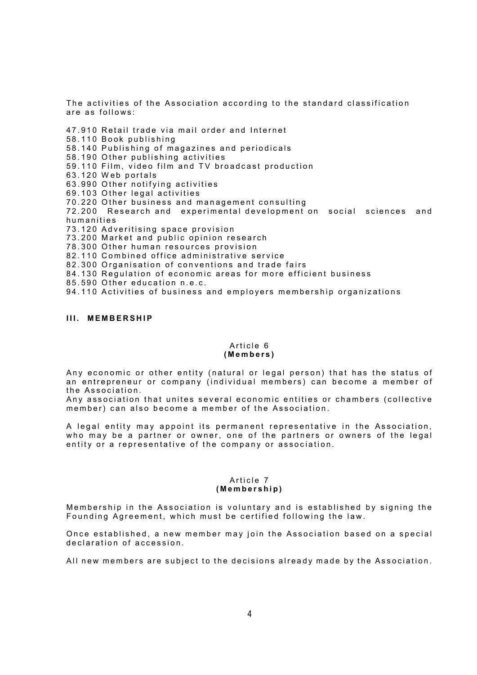The activities of the Association according to the standard classification are as follows:

47.910 Retail trade via mail order and Internet 58.110 Book publishing 58.140 Publishing of magazines and periodicals 58.190 Other publishing activities 59.110 Film, video film and TV broadcast production 63.120 Web portals 63.990 Other notifying activities 69.103 Other legal activities 70.220 Other business and management consulting 72.200 Research and experimental development on social sciences and humanities 73.120 Adveritising space provision 73.200 Market and public opinion research 78.300 Other human resources provision

82.110 Combined office administrative service

82.300 Organisation of conventions and trade fairs

84.130 Regulation of economic areas for more efficient business

85.590 Other education n.e.c.

94.110 Activities of business and employers membership organizations

#### III. MEMBERSHIP

#### Article 6 ( M e m b e r s )

Any economic or other entity (natural or legal person) that has the status of an entrepreneur or company (individual members) can become a member of the Association.

Any association that unites several economic entities or chambers (collective member) can also become a member of the Association.

A legal entity may appoint its permanent representative in the Association, who may be a partner or owner, one of the partners or owners of the legal entity or a representative of the company or association.

#### Article 7 ( M e m b e r s h i p )

Membership in the Association is voluntary and is established by signing the Founding Agreement, which must be certified following the law.

Once established, a new member may join the Association based on a special declaration of accession.

All new members are subject to the decisions already made by the Association.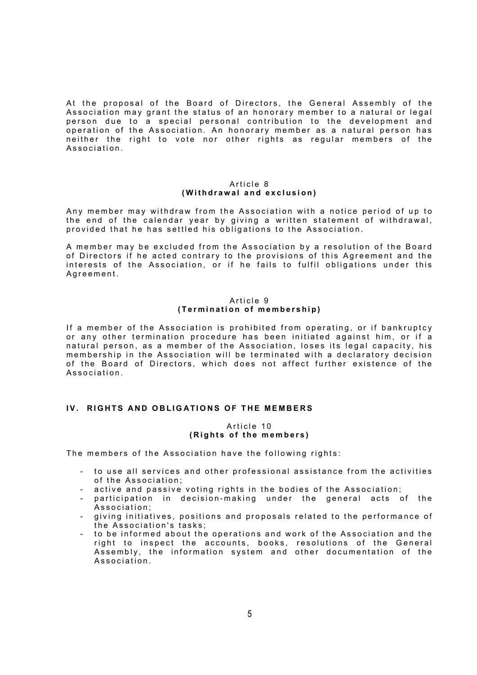At the proposal of the Board of Directors, the General Assembly of the Association may grant the status of an honorary member to a natural or legal person due to a special personal contribution to the development and operation of the Association. An honorary member as a natural person has neither the right to vote nor other rights as regular members of the Association.

#### Article 8 (Withdrawal and exclusion)

Any member may withdraw from the Association with a notice period of up to the end of the calendar year by giving a written statement of withdrawal, provided that he has settled his obligations to the Association.

A member may be excluded from the Association by a resolution of the Board of Directors if he acted contrary to the provisions of this Agreement and the interests of the Association, or if he fails to fulfil obligations under this Agreement.

# Article 9 (Termination of membership)

If a member of the Association is prohibited from operating, or if bankruptcy or any other termination procedure has been initiated against him, or if a natural person, as a member of the Association, loses its legal capacity, his membership in the Association will be terminated with a declaratory decision of the Board of Directors, which does not affect further existence of the Association.

# IV. RIGHTS AND OBLIGATIONS OF THE MEMBERS

## Article 10 (Rights of the members)

The members of the Association have the following rights:

- to use all services and other professional assistance from the activities of the Association:
- active and passive voting rights in the bodies of the Association;
- participation in decision-making under the general acts of the Association:
- giving initiatives, positions and proposals related to the performance of the Association's tasks:
- to be informed about the operations and work of the Association and the right to inspect the accounts, books, resolutions of the General Assembly, the information system and other documentation of the Association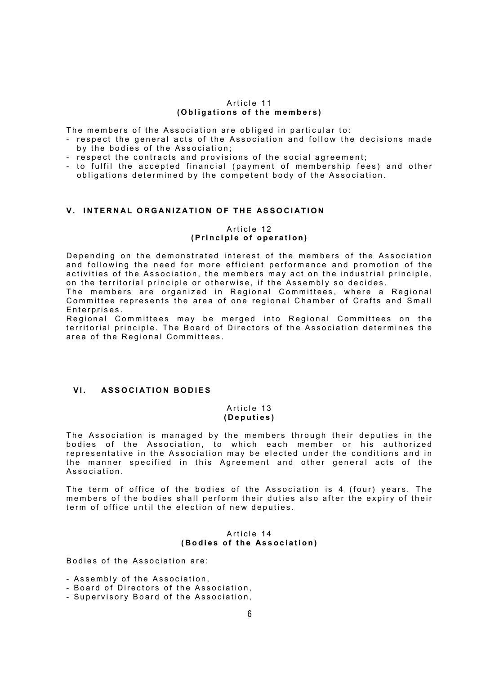#### Article 11 (Obligations of the members)

The members of the Association are obliged in particular to:

- respect the general acts of the Association and follow the decisions made by the bodies of the Association;
- respect the contracts and provisions of the social agreement;
- to fulfil the accepted financial (payment of membership fees) and other obligations determined by the competent body of the Association.

# V. INTERNAL ORGANIZATION OF THE ASSOCIATION

#### Article 12 (Principle of operation)

Depending on the demonstrated interest of the members of the Association and following the need for more efficient performance and promotion of the activities of the Association, the members may act on the industrial principle, on the territorial principle or otherwise, if the Assembly so decides.

The members are organized in Regional Committees, where a Regional Committee represents the area of one regional Chamber of Crafts and Small Enterprises.

Regional Committees may be merged into Regional Committees on the territorial principle. The Board of Directors of the Association determines the area of the Regional Committees.

## VI. ASSOCIATION BODIES

#### Article 13 ( D e p u t i e s )

The Association is managed by the members through their deputies in the bodies of the Association, to which each member or his authorized representative in the Association may be elected under the conditions and in the manner specified in this Agreement and other general acts of the Association.

The term of office of the bodies of the Association is 4 (four) years. The members of the bodies shall perform their duties also after the expiry of their term of office until the election of new deputies.

#### Article 14 (Bodies of the Association)

Bodies of the Association are:

- Assembly of the Association,
- Board of Directors of the Association,
- Supervisory Board of the Association,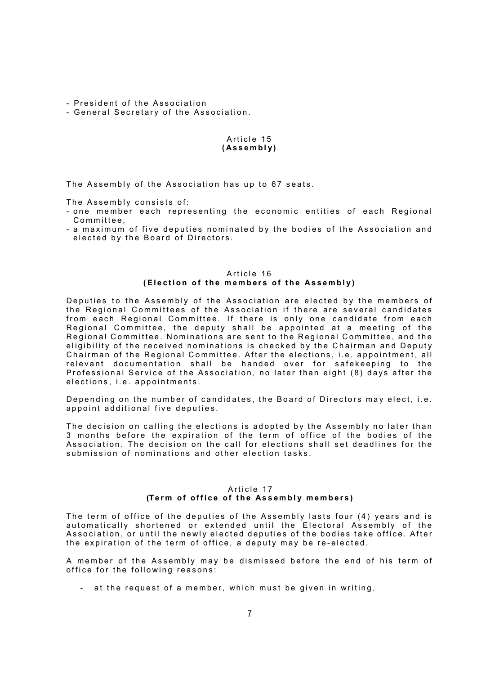- President of the Association

- General Secretary of the Association.

# Article 15 ( A s s e m b l y )

The Assembly of the Association has up to 67 seats.

The Assembly consists of:

- one member each representing the economic entities of each Regional Committee,
- a maximum of five deputies nominated by the bodies of the Association and elected by the Board of Directors.

## Article 16 (Election of the members of the Assembly)

Deputies to the Assembly of the Association are elected by the members of the Regional Committees of the Association if there are several candidates from each Regional Committee. If there is only one candidate from each Regional Committee, the deputy shall be appointed at a meeting of the Regional Committee. Nominations are sent to the Regional Committee, and the eligibility of the received nominations is checked by the Chairman and Deputy Chairman of the Regional Committee. After the elections, i.e. appointment, all relevant documentation shall be handed over for safekeeping to the Professional Service of the Association, no later than eight (8) days after the elections, i.e. appointments.

Depending on the number of candidates, the Board of Directors may elect, i.e. appoint additional five deputies.

The decision on calling the elections is adopted by the Assembly no later than 3 months before the expiration of the term of office of the bodies of the Association. The decision on the call for elections shall set deadlines for the submission of nominations and other election tasks.

## Article 17 (Term of office of the Assembly members)

The term of office of the deputies of the Assembly lasts four (4) years and is automatically shortened or extended until the Electoral Assembly of the Association, or until the newly elected deputies of the bodies take office. After the expiration of the term of office, a deputy may be re-elected.

A member of the Assembly may be dismissed before the end of his term of office for the following reasons:

- at the request of a member, which must be given in writing,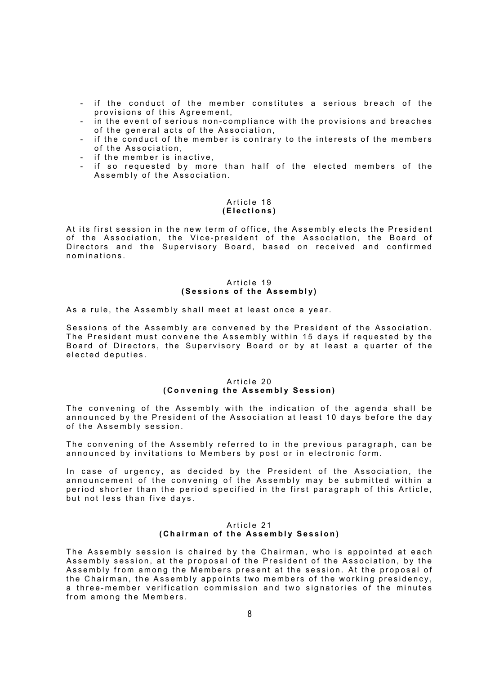- if the conduct of the member constitutes a serious breach of the provisions of this Agreement.
- in the event of serious non-compliance with the provisions and breaches of the general acts of the Association,
- if the conduct of the member is contrary to the interests of the members of the Association.
- if the member is inactive,
- if so requested by more than half of the elected members of the Assembly of the Association.

## Article 18 (Elections)

At its first session in the new term of office, the Assembly elects the President of the Association, the Vice-president of the Association, the Board of Directors and the Supervisory Board, based on received and confirmed n o m i n ations

## Article 19 (Sessions of the Assembly)

As a rule, the Assembly shall meet at least once a year.

Sessions of the Assembly are convened by the President of the Association. The President must convene the Assembly within 15 days if requested by the Board of Directors, the Supervisory Board or by at least a quarter of the elected deputies.

# Article 20 (Convening the Assembly Session)

The convening of the Assembly with the indication of the agenda shall be announced by the President of the Association at least 10 days before the day of the Assembly session.

The convening of the Assembly referred to in the previous paragraph, can be announced by invitations to Members by post or in electronic form.

In case of urgency, as decided by the President of the Association, the announcement of the convening of the Assembly may be submitted within a period shorter than the period specified in the first paragraph of this Article, but not less than five days.

## Article 21 (Chairman of the Assembly Session)

The Assembly session is chaired by the Chairman, who is appointed at each Assembly session, at the proposal of the President of the Association, by the Assembly from among the Members present at the session. At the proposal of the Chairman, the Assembly appoints two members of the working presidency, a three-member verification commission and two signatories of the minutes from among the Members.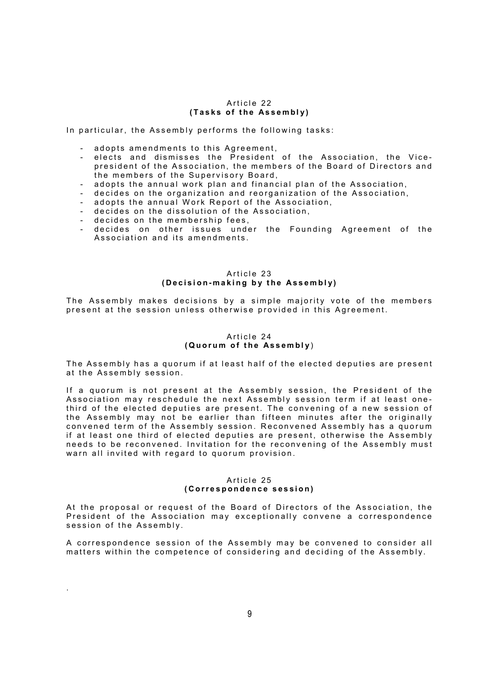#### Article 22 (Tasks of the Assembly)

In particular, the Assembly performs the following tasks:

- adopts amendments to this Agreement,
- elects and dismisses the President of the Association, the Vicepresident of the Association, the members of the Board of Directors and the members of the Supervisory Board,
- adopts the annual work plan and financial plan of the Association,
- decides on the organization and reorganization of the Association,
- adopts the annual Work Report of the Association,
- decides on the dissolution of the Association,
- decides on the membership fees,

.

decides on other issues under the Founding Agreement of the Association and its amendments.

# Article 23 (Decision-making by the Assembly)

The Assembly makes decisions by a simple majority vote of the members present at the session unless otherwise provided in this Agreement.

## Article 24 ( Quorum of the Assembly )

The Assembly has a quorum if at least half of the elected deputies are present at the Assembly session.

If a quorum is not present at the Assembly session, the President of the Association may reschedule the next Assembly session term if at least onethird of the elected deputies are present. The convening of a new session of the Assembly may not be earlier than fifteen minutes after the originally convened term of the Assembly session. Reconvened Assembly has a quorum if at least one third of elected deputies are present, otherwise the Assembly needs to be reconvened. Invitation for the reconvening of the Assembly must warn all invited with regard to quorum provision.

#### Article 25 (Correspondence session)

At the proposal or request of the Board of Directors of the Association, the President of the Association may exceptionally convene a correspondence session of the Assembly.

A correspondence session of the Assembly may be convened to consider all matters within the competence of considering and deciding of the Assembly.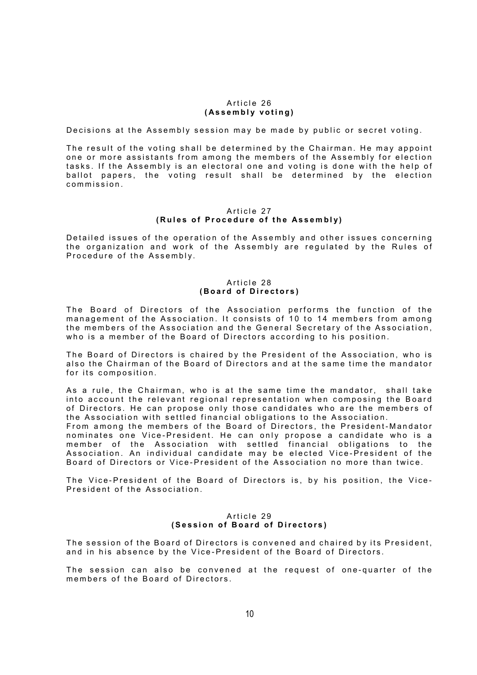#### Article 26 (Assembly voting)

Decisions at the Assembly session may be made by public or secret voting.

The result of the voting shall be determined by the Chairman. He may appoint one or more assistants from among the members of the Assembly for election tasks. If the Assembly is an electoral one and voting is done with the help of ballot papers, the voting result shall be determined by the election commission.

#### Article 27 (Rules of Procedure of the Assembly)

Detailed issues of the operation of the Assembly and other issues concerning the organization and work of the Assembly are regulated by the Rules of Procedure of the Assembly.

## Article 28 (Board of Directors)

The Board of Directors of the Association performs the function of the management of the Association. It consists of 10 to 14 members from among the members of the Association and the General Secretary of the Association, who is a member of the Board of Directors according to his position.

The Board of Directors is chaired by the President of the Association, who is also the Chairman of the Board of Directors and at the same time the mandator for its composition.

As a rule, the Chairman, who is at the same time the mandator, shall take into account the relevant regional representation when composing the Board of Directors. He can propose only those candidates who are the members of the Association with settled financial obligations to the Association.

From among the members of the Board of Directors, the President-Mandator nominates one Vice-President. He can only propose a candidate who is a member of the Association with settled financial obligations to the  $\,$ Association. An individual candidate may be elected Vice-President of the Board of Directors or Vice-President of the Association no more than twice.

The Vice-President of the Board of Directors is, by his position, the Vice-President of the Association.

## Article 29 (Session of Board of Directors)

The session of the Board of Directors is convened and chaired by its President, and in his absence by the Vice-President of the Board of Directors.

The session can also be convened at the request of one-quarter of the members of the Board of Directors.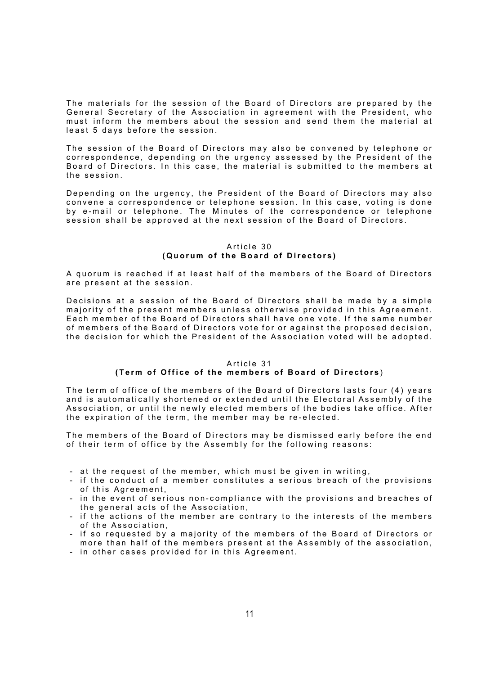The materials for the session of the Board of Directors are prepared by the General Secretary of the Association in agreement with the President, who must inform the members about the session and send them the material at least 5 days before the session.

The session of the Board of Directors may also be convened by telephone or correspondence, depending on the urgency assessed by the President of the Board of Directors. In this case, the material is submitted to the members at the session.

Depending on the urgency, the President of the Board of Directors may also convene a correspondence or telephone session. In this case, voting is done by e-mail or telephone. The Minutes of the correspondence or telephone session shall be approved at the next session of the Board of Directors.

#### Article 30 ( Quorum of the Board of Directors)

A quorum is reached if at least half of the members of the Board of Directors are present at the session.

Decisions at a session of the Board of Directors shall be made by a simple majority of the present members unless otherwise provided in this Agreement. Each member of the Board of Directors shall have one vote. If the same number of members of the Board of Directors vote for or against the proposed decision, the decision for which the President of the Association voted will be adopted.

## Article 31 (Term of Office of the members of Board of Directors)

The term of office of the members of the Board of Directors lasts four (4) years and is automatically shortened or extended until the Electoral Assembly of the Association, or until the newly elected members of the bodies take office. After the expiration of the term, the member may be re-elected.

The members of the Board of Directors may be dismissed early before the end of their term of office by the Assembly for the following reasons:

- at the request of the member, which must be given in writing,
- if the conduct of a member constitutes a serious breach of the provisions of this Agreement.
- in the event of serious non-compliance with the provisions and breaches of the general acts of the Association.
- if the actions of the member are contrary to the interests of the members of the Association.
- if so requested by a majority of the members of the Board of Directors or more than half of the members present at the Assembly of the association,
- in other cases provided for in this Agreement.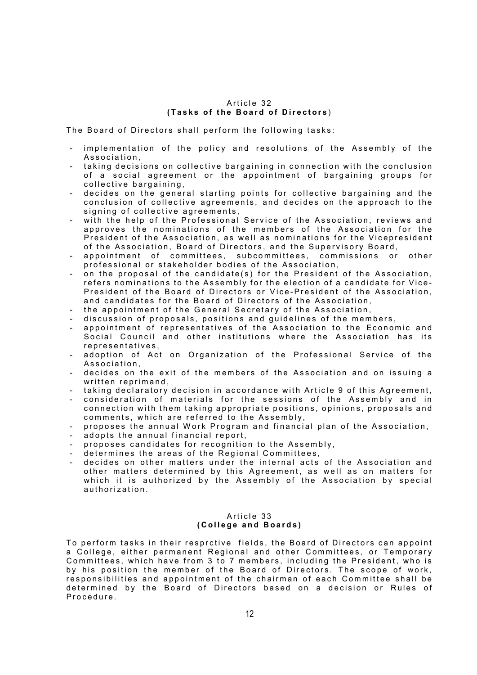## Article 32 (Tasks of the Board of Directors)

The Board of Directors shall perform the following tasks:

- implementation of the policy and resolutions of the Assembly of the Association,
- taking decisions on collective bargaining in connection with the conclusion of a social agreement or the appointment of bargaining groups for collective bargaining,
- decides on the general starting points for collective bargaining and the conclusion of collective agreements, and decides on the approach to the signing of collective agreements,
- with the help of the Professional Service of the Association, reviews and approves the nominations of the members of the Association for the President of the Association, as well as nominations for the Vicepresident of the Association, Board of Directors, and the Supervisory Board,
- appointment of committees, subcommittees, commissions or other professional or stakeholder bodies of the Association,
- on the proposal of the candidate(s) for the President of the Association, refers nominations to the Assembly for the election of a candidate for Vice-President of the Board of Directors or Vice-President of the Association, and candidates for the Board of Directors of the Association,
- the appointment of the General Secretary of the Association,
- discussion of proposals, positions and guidelines of the members,
- appointment of representatives of the Association to the Economic and Social Council and other institutions where the Association has its representatives,
- adoption of Act on Organization of the Professional Service of the Association,
- decides on the exit of the members of the Association and on issuing a written reprimand,
- taking declaratory decision in accordance with Article 9 of this Agreement,
- consideration of materials for the sessions of the Assembly and in connection with them taking appropriate positions, opinions, proposals and comments, which are referred to the Assembly,
- proposes the annual Work Program and financial plan of the Association,
- adopts the annual financial report,
- proposes candidates for recognition to the Assembly,
- determines the areas of the Regional Committees,
- decides on other matters under the internal acts of the Association and other matters determined by this Agreement, as well as on matters for which it is authorized by the Assembly of the Association by special authorization.

#### Article 33 (College and Boards)

To perform tasks in their resprctive fields, the Board of Directors can appoint a College, either permanent Regional and other Committees, or Temporary Committees, which have from 3 to 7 members, including the President, who is by his position the member of the Board of Directors. The scope of work, responsibilities and appointment of the chairman of each Committee shall be determined by the Board of Directors based on a decision or Rules of Procedure.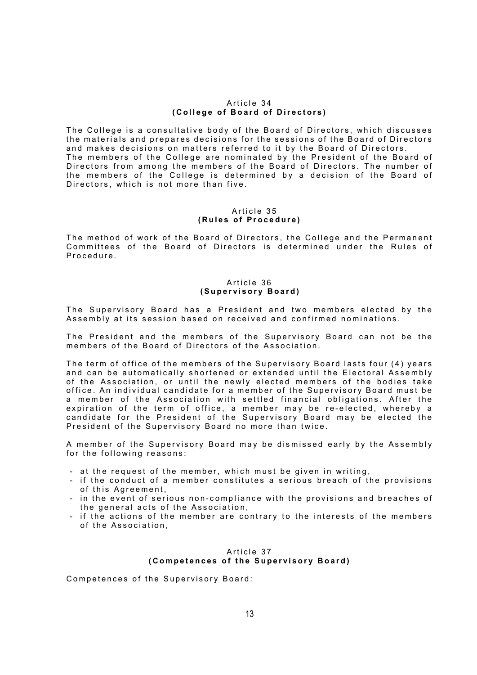#### Article 34 (College of Board of Directors)

The College is a consultative body of the Board of Directors, which discusses the materials and prepares decisions for the sessions of the Board of Directors and makes decisions on matters referred to it by the Board of Directors. The members of the College are nominated by the President of the Board of Directors from among the members of the Board of Directors. The number of the members of the College is determined by a decision of the Board of Directors, which is not more than five.

#### Article 35 (Rules of Procedure)

The method of work of the Board of Directors, the College and the Permanent Committees of the Board of Directors is determined under the Rules of Procedure.

## Article 36 (Supervisory Board)

The Supervisory Board has a President and two members elected by the Assembly at its session based on received and confirmed nominations.

The President and the members of the Supervisory Board can not be the members of the Board of Directors of the Association.

The term of office of the members of the Supervisory Board lasts four (4) years and can be automatically shortened or extended until the Electoral Assembly of the Association, or until the newly elected members of the bodies take office. An individual candidate for a member of the Supervisory Board must be a member of the Association with settled financial obligations. After the expiration of the term of office, a member may be re-elected, whereby a candidate for the President of the Supervisory Board may be elected the President of the Supervisory Board no more than twice.

A member of the Supervisory Board may be dismissed early by the Assembly for the following reasons:

- at the request of the member, which must be given in writing,
- if the conduct of a member constitutes a serious breach of the provisions of this Agreement,
- in the event of serious non-compliance with the provisions and breaches of the general acts of the Association,
- if the actions of the member are contrary to the interests of the members of the Association.

# Article 37 (Competences of the Supervisory Board)

Competences of the Supervisory Board: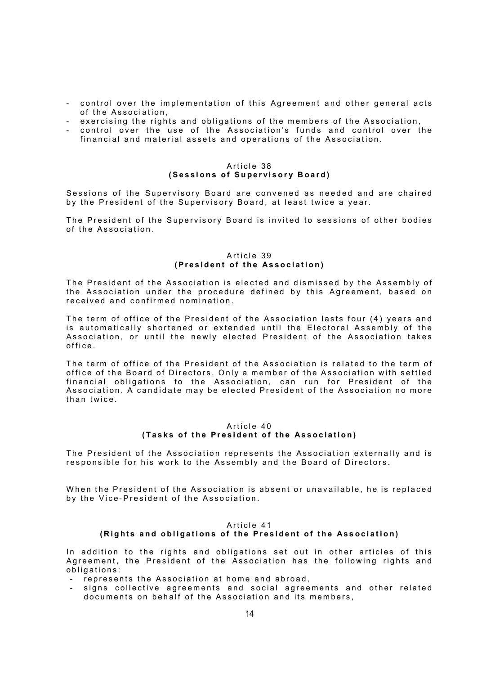- control over the implementation of this Agreement and other general acts of the Association.
- exercising the rights and obligations of the members of the Association.
- control over the use of the Association's funds and control over the financial and material assets and operations of the Association.

## Article 38 (Sessions of Supervisory Board)

Sessions of the Supervisory Board are convened as needed and are chaired by the President of the Supervisory Board, at least twice a year.

The President of the Supervisory Board is invited to sessions of other bodies of the Association.

#### Article 39 (President of the Association)

The President of the Association is elected and dismissed by the Assembly of the Association under the procedure defined by this Agreement, based on received and confirmed nomination.

The term of office of the President of the Association lasts four (4) years and is automatically shortened or extended until the Electoral Assembly of the Association, or until the newly elected President of the Association takes office.

The term of office of the President of the Association is related to the term of office of the Board of Directors. Only a member of the Association with settled financial obligations to the Association, can run for President of the Association. A candidate may be elected President of the Association no more than twice.

## Article 40 (Tasks of the President of the Association)

The President of the Association represents the Association externally and is responsible for his work to the Assembly and the Board of Directors.

When the President of the Association is absent or unavailable, he is replaced by the Vice-President of the Association.

# Article 41

# (Rights and obligations of the President of the Association)

In addition to the rights and obligations set out in other articles of this Agreement, the President of the Association has the following rights and obligations:

- represents the Association at home and abroad,
- signs collective agreements and social agreements and other related documents on behalf of the Association and its members,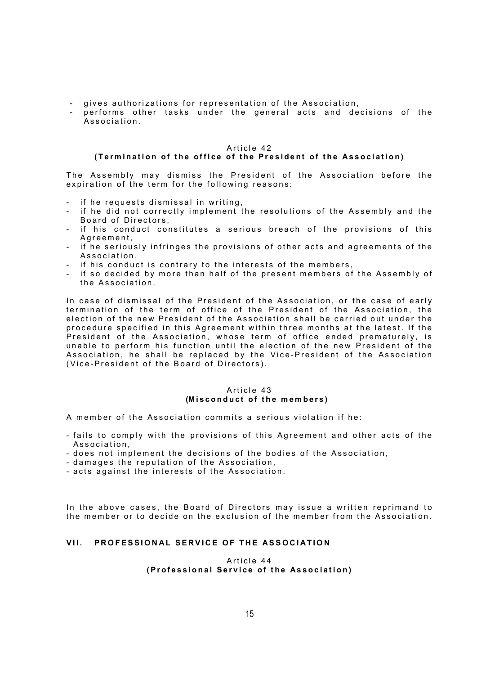- gives authorizations for representation of the Association,
- performs other tasks under the general acts and decisions of the Association.

#### Article 42

# (Termination of the office of the President of the Association)

The Assembly may dismiss the President of the Association before the expiration of the term for the following reasons:

- if he requests dismissal in writing,
- if he did not correctly implement the resolutions of the Assembly and the Board of Directors,
- if his conduct constitutes a serious breach of the provisions of this A g r e e m e n t .
- if he seriously infringes the provisions of other acts and agreements of the Association.
- if his conduct is contrary to the interests of the members,
- if so decided by more than half of the present members of the Assembly of the Association

In case of dismissal of the President of the Association, or the case of early termination of the term of office of the President of the Association, the election of the new President of the Association shall be carried out under the procedure specified in this Agreement within three months at the latest. If the .<br>President of the Association, whose term of office ended prematurely, is unable to perform his function until the election of the new President of the Association, he shall be replaced by the Vice-President of the Association (Vice-President of the Board of Directors).

## Article 43 (Misconduct of the members)

A member of the Association commits a serious violation if he:

- fails to comply with the provisions of this Agreement and other acts of the Association,
- does not implement the decisions of the bodies of the Association,
- damages the reputation of the Association,
- acts against the interests of the Association.

In the above cases, the Board of Directors may issue a written reprimand to the member or to decide on the exclusion of the member from the Association.

# VII. PROFESSIONAL SERVICE OF THE ASSOCIATION

#### Article 44 (Professional Service of the Association)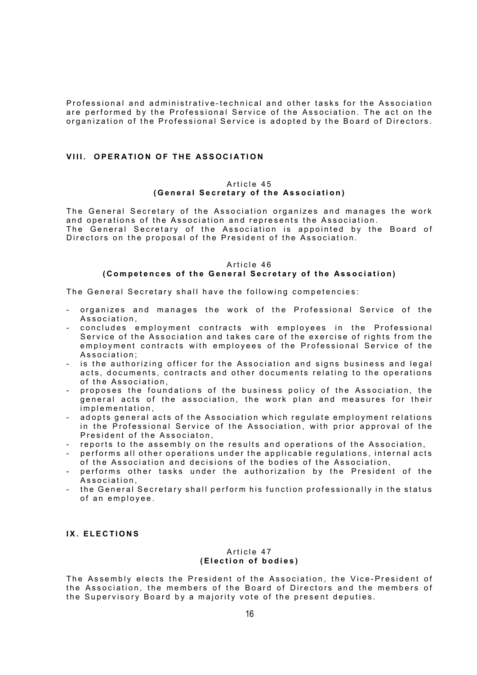Professional and administrative-technical and other tasks for the Association are performed by the Professional Service of the Association. The act on the organization of the Professional Service is adopted by the Board of Directors.

# VIII. OPERATION OF THE ASSOCIATION

#### Article 45 (General Secretary of the Association)

The General Secretary of the Association organizes and manages the work and operations of the Association and represents the Association. The General Secretary of the Association is appointed by the Board of Directors on the proposal of the President of the Association.  $\overline{\phantom{a}}$ 

# Article 46 (Competences of the General Secretary of the Association)

The General Secretary shall have the following competencies:

- organizes and manages the work of the Professional Service of the Association,
- concludes employment contracts with employees in the Professional Service of the Association and takes care of the exercise of rights from the employment contracts with employees of the Professional Service of the Association;
- is the authorizing officer for the Association and signs business and legal acts, documents, contracts and other documents relating to the operations of the Association,
- proposes the foundations of the business policy of the Association, the general acts of the association, the work plan and measures for their implementation,
- adopts general acts of the Association which regulate employment relations in the Professional Service of the Association, with prior approval of the President of the Associaton,
- reports to the assembly on the results and operations of the Association,
- performs all other operations under the applicable regulations, internal acts of the Association and decisions of the bodies of the Association,
- performs other tasks under the authorization by the President of the Association.
- the General Secretary shall perform his function professionally in the status of an employee.

## IX. ELECTIONS

#### Article 47 (Election of bodies)

The Assembly elects the President of the Association, the Vice-President of the Association, the members of the Board of Directors and the members of the Supervisory Board by a majority vote of the present deputies.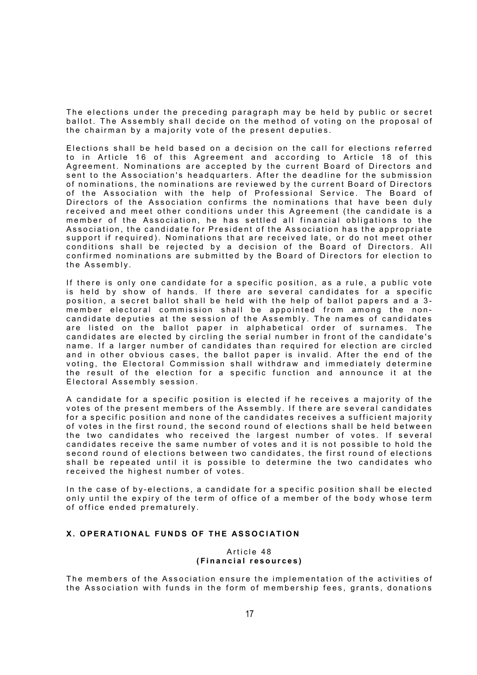The elections under the preceding paragraph may be held by public or secret ballot. The Assembly shall decide on the method of voting on the proposal of the chairman by a majority vote of the present deputies.

Elections shall be held based on a decision on the call for elections referred to in Article 16 of this Agreement and according to Article 18 of this Agreement. Nominations are accepted by the current Board of Directors and sent to the Association's headquarters. After the deadline for the submission of nominations, the nominations are reviewed by the current Board of Directors of the Association with the help of Professional Service. The Board of Directors of the Association confirms the nominations that have been duly received and meet other conditions under this Agreement (the candidate is a member of the Association, he has settled all financial obligations to the Association, the candidate for President of the Association has the appropriate support if required). Nominations that are received late, or do not meet other conditions shall be rejected by a decision of the Board of Directors. All confirmed nominations are submitted by the Board of Directors for election to the Assembly.

If there is only one candidate for a specific position, as a rule, a public vote is held by show of hands. If there are several candidates for a specific position, a secret ballot shall be held with the help of ballot papers and a 3member electoral commission shall be appointed from among the noncandidate deputies at the session of the Assembly. The names of candidates are listed on the ballot paper in alphabetical order of surnames. The  $\overline{\phantom{a}}$ candidates are elected by circling the serial number in front of the candidate's name. If a larger number of candidates than required for election are circled and in other obvious cases, the ballot paper is invalid. After the end of the voting, the Electoral Commission shall withdraw and immediately determine the result of the election for a specific function and announce it at the Electoral Assembly session.

A candidate for a specific position is elected if he receives a majority of the votes of the present members of the Assembly. If there are several candidates for a specific position and none of the candidates receives a sufficient majority of votes in the first round, the second round of elections shall be held between the two candidates who received the largest number of votes. If several candidates receive the same number of votes and it is not possible to hold the second round of elections between two candidates, the first round of elections shall be repeated until it is possible to determine the two candidates who received the highest number of votes.

In the case of by-elections, a candidate for a specific position shall be elected only until the expiry of the term of office of a member of the body whose term of office ended prematurely.

# X. OPERATIONAL FUNDS OF THE ASSOCIATION

#### Article 48 (Financial resources)

The members of the Association ensure the implementation of the activities of the Association with funds in the form of membership fees, grants, donations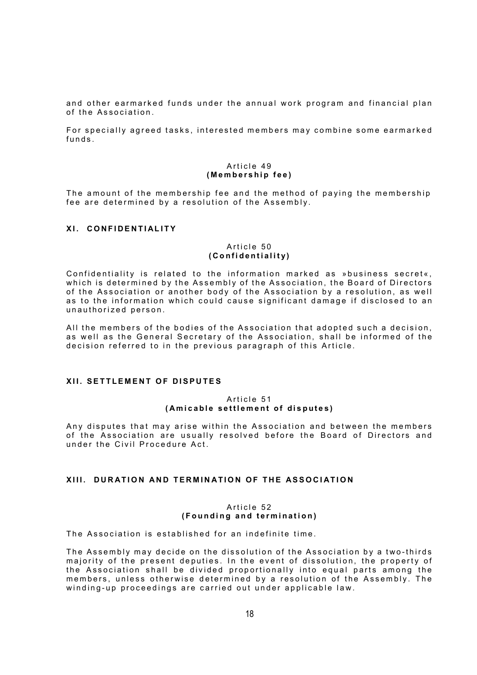and other earmarked funds under the annual work program and financial plan of the Association.

For specially agreed tasks, interested members may combine some earmarked  $f$  unds

#### Article 49 (Membership fee)

The amount of the membership fee and the method of paying the membership fee are determined by a resolution of the Assembly.

## XI. CONFIDENTIALITY

#### Article 50 (Confidentiality)

Confidentiality is related to the information marked as »business secret«, which is determined by the Assembly of the Association, the Board of Directors of the Association or another body of the Association by a resolution, as well as to the information which could cause significant damage if disclosed to an unauthorized person.

All the members of the bodies of the Association that adopted such a decision, as well as the General Secretary of the Association, shall be informed of the decision referred to in the previous paragraph of this Article.

# XII. SETTLEMENT OF DISPUTES

## Article 51 (Amicable settlement of disputes)

Any disputes that may arise within the Association and between the members of the Association are usually resolved before the Board of Directors and under the Civil Procedure Act

# XIII. DURATION AND TERMINATION OF THE ASSOCIATION

## Article 52 (Founding and termination)

The Association is established for an indefinite time.

The Assembly may decide on the dissolution of the Association by a two-thirds majority of the present deputies. In the event of dissolution, the property of the Association shall be divided proportionally into equal parts among the members, unless otherwise determined by a resolution of the Assembly. The winding-up proceedings are carried out under applicable law.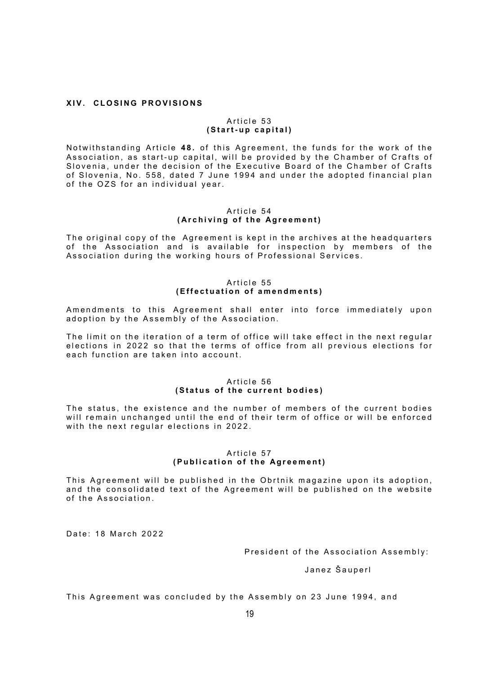#### XIV. CLOSING PROVISIONS

#### Article 53 (Start-up capital)

Notwithstanding Article 48. of this Agreement, the funds for the work of the Association, as start-up capital, will be provided by the Chamber of Crafts of Slovenia, under the decision of the Executive Board of the Chamber of Crafts of Slovenia, No. 558, dated 7 June 1994 and under the adopted financial plan of the OZS for an individual year.

#### Article 54 (Archiving of the Agreement)

The original copy of the Agreement is kept in the archives at the headquarters of the Association and is available for inspection by members of the Association during the working hours of Professional Services.

# Article 55 (Effectuation of amendments)

Amendments to this Agreement shall enter into force immediately upon adoption by the Assembly of the Association.

The limit on the iteration of a term of office will take effect in the next regular elections in 2022 so that the terms of office from all previous elections for each function are taken into account.

# Article 56 (Status of the current bodies)

The status, the existence and the number of members of the current bodies will remain unchanged until the end of their term of office or will be enforced with the next regular elections in 2022.

# Article 57 ( Publication of the Agreement)

This Agreement will be published in the Obrtnik magazine upon its adoption, and the consolidated text of the Agreement will be published on the website of the Association

Date: 18 March 2022

President of the Association Assembly:

Janez Šauperl

This Agreement was concluded by the Assembly on 23 June 1994, and